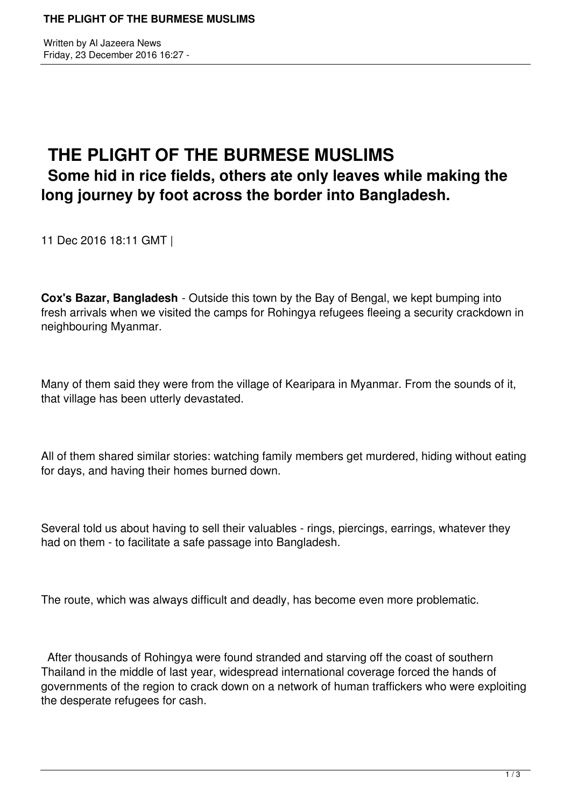Written by Al Jazeera News Friday, 23 December 2016 16:27 -

## **THE PLIGHT OF THE BURMESE MUSLIMS Some hid in rice fields, others ate only leaves while making the long journey by foot across the border into Bangladesh.**

11 Dec 2016 18:11 GMT |

**Cox's Bazar, Bangladesh** - Outside this town by the Bay of Bengal, we kept bumping into fresh arrivals when we visited the camps for Rohingya refugees fleeing a security crackdown in neighbouring Myanmar.

Many of them said they were from the village of Kearipara in Myanmar. From the sounds of it, that village has been utterly devastated.

All of them shared similar stories: watching family members get murdered, hiding without eating for days, and having their homes burned down.

Several told us about having to sell their valuables - rings, piercings, earrings, whatever they had on them - to facilitate a safe passage into Bangladesh.

The route, which was always difficult and deadly, has become even more problematic.

 After thousands of Rohingya were found stranded and starving off the coast of southern Thailand in the middle of last year, widespread international coverage forced the hands of governments of the region to crack down on a network of human traffickers who were exploiting the desperate refugees for cash.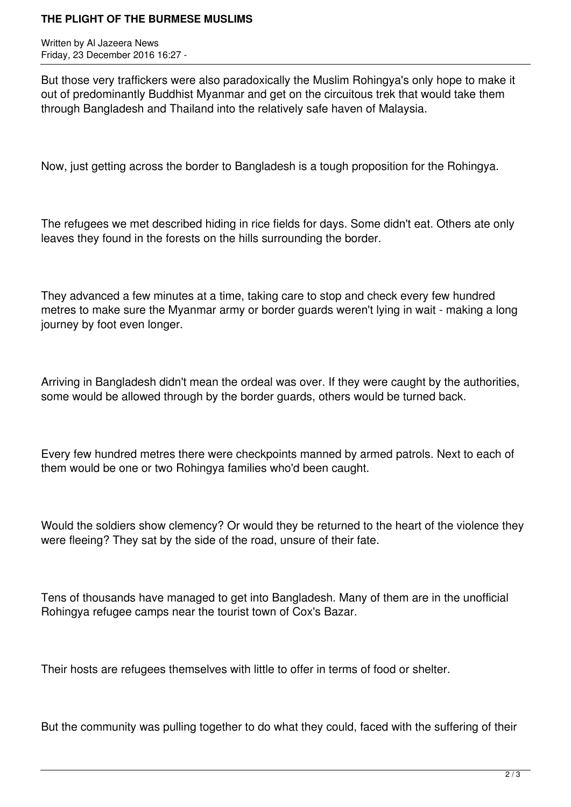## **THE PLIGHT OF THE BURMESE MUSLIMS**

Written by Al Jazeera News Friday, 23 December 2016 16:27 -

But those very traffickers were also paradoxically the Muslim Rohingya's only hope to make it out of predominantly Buddhist Myanmar and get on the circuitous trek that would take them through Bangladesh and Thailand into the relatively safe haven of Malaysia.

Now, just getting across the border to Bangladesh is a tough proposition for the Rohingya.

The refugees we met described hiding in rice fields for days. Some didn't eat. Others ate only leaves they found in the forests on the hills surrounding the border.

They advanced a few minutes at a time, taking care to stop and check every few hundred metres to make sure the Myanmar army or border guards weren't lying in wait - making a long journey by foot even longer.

Arriving in Bangladesh didn't mean the ordeal was over. If they were caught by the authorities, some would be allowed through by the border guards, others would be turned back.

Every few hundred metres there were checkpoints manned by armed patrols. Next to each of them would be one or two Rohingya families who'd been caught.

Would the soldiers show clemency? Or would they be returned to the heart of the violence they were fleeing? They sat by the side of the road, unsure of their fate.

Tens of thousands have managed to get into Bangladesh. Many of them are in the unofficial Rohingya refugee camps near the tourist town of Cox's Bazar.

Their hosts are refugees themselves with little to offer in terms of food or shelter.

But the community was pulling together to do what they could, faced with the suffering of their